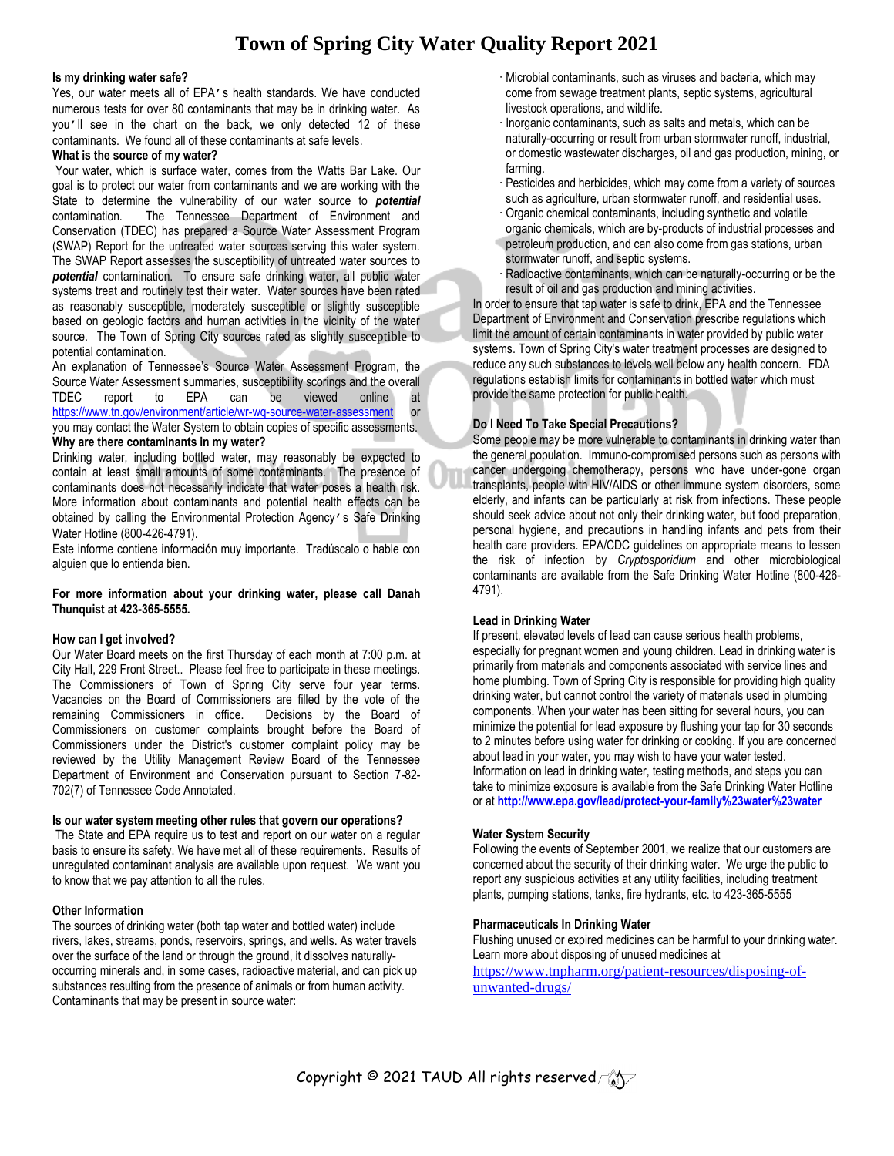### **Is my drinking water safe?**

Yes, our water meets all of EPA's health standards. We have conducted numerous tests for over 80 contaminants that may be in drinking water. As you'll see in the chart on the back, we only detected 12 of these contaminants. We found all of these contaminants at safe levels.

## **What is the source of my water?**

Your water, which is surface water, comes from the Watts Bar Lake. Our goal is to protect our water from contaminants and we are working with the State to determine the vulnerability of our water source to *potential* contamination. The Tennessee Department of Environment and Conservation (TDEC) has prepared a Source Water Assessment Program (SWAP) Report for the untreated water sources serving this water system. The SWAP Report assesses the susceptibility of untreated water sources to *potential* contamination. To ensure safe drinking water, all public water systems treat and routinely test their water. Water sources have been rated as reasonably susceptible, moderately susceptible or slightly susceptible based on geologic factors and human activities in the vicinity of the water source. The Town of Spring City sources rated as slightly susceptible to potential contamination.

An explanation of Tennessee's Source Water Assessment Program, the Source Water Assessment summaries, susceptibility scorings and the overall TDEC report to EPA can be viewed online at <https://www.tn.gov/environment/article/wr-wq-source-water-assessment> or you may contact the Water System to obtain copies of specific assessments.

## **Why are there contaminants in my water?**

Drinking water, including bottled water, may reasonably be expected to contain at least small amounts of some contaminants. The presence of contaminants does not necessarily indicate that water poses a health risk. More information about contaminants and potential health effects can be obtained by calling the Environmental Protection Agency's Safe Drinking Water Hotline (800-426-4791).

Este informe contiene información muy importante. Tradúscalo o hable con alguien que lo entienda bien.

#### **For more information about your drinking water, please call Danah Thunquist at 423-365-5555.**

# **How can I get involved?**

Our Water Board meets on the first Thursday of each month at 7:00 p.m. at City Hall, 229 Front Street.. Please feel free to participate in these meetings. The Commissioners of Town of Spring City serve four year terms. Vacancies on the Board of Commissioners are filled by the vote of the remaining Commissioners in office. Decisions by the Board of Commissioners on customer complaints brought before the Board of Commissioners under the District's customer complaint policy may be reviewed by the Utility Management Review Board of the Tennessee Department of Environment and Conservation pursuant to Section 7-82- 702(7) of Tennessee Code Annotated.

# **Is our water system meeting other rules that govern our operations?**

The State and EPA require us to test and report on our water on a regular basis to ensure its safety. We have met all of these requirements. Results of unregulated contaminant analysis are available upon request. We want you to know that we pay attention to all the rules.

# **Other Information**

The sources of drinking water (both tap water and bottled water) include rivers, lakes, streams, ponds, reservoirs, springs, and wells. As water travels over the surface of the land or through the ground, it dissolves naturallyoccurring minerals and, in some cases, radioactive material, and can pick up substances resulting from the presence of animals or from human activity. Contaminants that may be present in source water:

- · Microbial contaminants, such as viruses and bacteria, which may come from sewage treatment plants, septic systems, agricultural livestock operations, and wildlife.
- · Inorganic contaminants, such as salts and metals, which can be naturally-occurring or result from urban stormwater runoff, industrial, or domestic wastewater discharges, oil and gas production, mining, or farming.
- · Pesticides and herbicides, which may come from a variety of sources such as agriculture, urban stormwater runoff, and residential uses.
- · Organic chemical contaminants, including synthetic and volatile organic chemicals, which are by-products of industrial processes and
- petroleum production, and can also come from gas stations, urban stormwater runoff, and septic systems.
- Radioactive contaminants, which can be naturally-occurring or be the result of oil and gas production and mining activities.

In order to ensure that tap water is safe to drink, EPA and the Tennessee Department of Environment and Conservation prescribe regulations which limit the amount of certain contaminants in water provided by public water systems. Town of Spring City's water treatment processes are designed to reduce any such substances to levels well below any health concern. FDA regulations establish limits for contaminants in bottled water which must provide the same protection for public health.

# **Do I Need To Take Special Precautions?**

Some people may be more vulnerable to contaminants in drinking water than the general population. Immuno-compromised persons such as persons with cancer undergoing chemotherapy, persons who have under-gone organ transplants, people with HIV/AIDS or other immune system disorders, some elderly, and infants can be particularly at risk from infections. These people should seek advice about not only their drinking water, but food preparation, personal hygiene, and precautions in handling infants and pets from their health care providers. EPA/CDC guidelines on appropriate means to lessen the risk of infection by *Cryptosporidium* and other microbiological contaminants are available from the Safe Drinking Water Hotline (800-426- 4791).

# **Lead in Drinking Water**

If present, elevated levels of lead can cause serious health problems, especially for pregnant women and young children. Lead in drinking water is primarily from materials and components associated with service lines and home plumbing. Town of Spring City is responsible for providing high quality drinking water, but cannot control the variety of materials used in plumbing components. When your water has been sitting for several hours, you can minimize the potential for lead exposure by flushing your tap for 30 seconds to 2 minutes before using water for drinking or cooking. If you are concerned about lead in your water, you may wish to have your water tested. Information on lead in drinking water, testing methods, and steps you can take to minimize exposure is available from the Safe Drinking Water Hotline or at **<http://www.epa.gov/lead/protect-your-family%23water%23water>**

# **Water System Security**

Following the events of September 2001, we realize that our customers are concerned about the security of their drinking water. We urge the public to report any suspicious activities at any utility facilities, including treatment plants, pumping stations, tanks, fire hydrants, etc. to 423-365-5555

# **Pharmaceuticals In Drinking Water**

Flushing unused or expired medicines can be harmful to your drinking water. Learn more about disposing of unused medicines at [https://www.tnpharm.org/patient-resources/disposing-of-](https://www.tnpharm.org/patient-resources/disposing-of-unwanted-drugs/)

[unwanted-drugs/](https://www.tnpharm.org/patient-resources/disposing-of-unwanted-drugs/)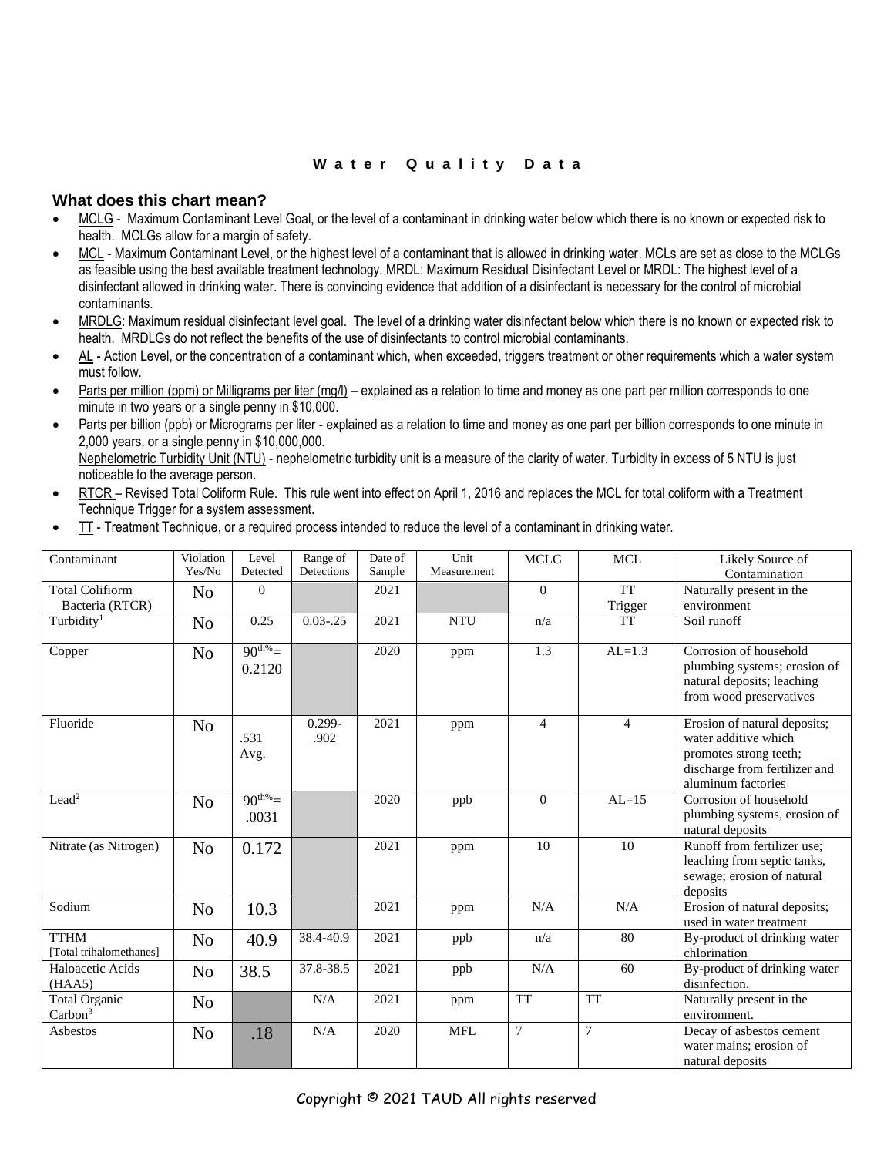# **W a t e r Q u a l i t y D a t a**

# **What does this chart mean?**

- MCLG Maximum Contaminant Level Goal, or the level of a contaminant in drinking water below which there is no known or expected risk to health. MCLGs allow for a margin of safety.
- MCL Maximum Contaminant Level, or the highest level of a contaminant that is allowed in drinking water. MCLs are set as close to the MCLGs as feasible using the best available treatment technology. MRDL: Maximum Residual Disinfectant Level or MRDL: The highest level of a disinfectant allowed in drinking water. There is convincing evidence that addition of a disinfectant is necessary for the control of microbial contaminants.
- MRDLG: Maximum residual disinfectant level goal. The level of a drinking water disinfectant below which there is no known or expected risk to health. MRDLGs do not reflect the benefits of the use of disinfectants to control microbial contaminants.
- AL Action Level, or the concentration of a contaminant which, when exceeded, triggers treatment or other requirements which a water system must follow.
- Parts per million (ppm) or Milligrams per liter (mg/l) explained as a relation to time and money as one part per million corresponds to one minute in two years or a single penny in \$10,000.
- Parts per billion (ppb) or Micrograms per liter explained as a relation to time and money as one part per billion corresponds to one minute in 2,000 years, or a single penny in \$10,000,000. Nephelometric Turbidity Unit (NTU) - nephelometric turbidity unit is a measure of the clarity of water. Turbidity in excess of 5 NTU is just noticeable to the average person.
- RTCR Revised Total Coliform Rule. This rule went into effect on April 1, 2016 and replaces the MCL for total coliform with a Treatment Technique Trigger for a system assessment.
- TT Treatment Technique, or a required process intended to reduce the level of a contaminant in drinking water.

| Contaminant                                 | Violation<br>Yes/No | Level<br>Detected     | Range of<br>Detections | Date of<br>Sample | Unit<br>Measurement | <b>MCLG</b>    | <b>MCL</b>           | Likely Source of<br>Contamination                                                                                                     |
|---------------------------------------------|---------------------|-----------------------|------------------------|-------------------|---------------------|----------------|----------------------|---------------------------------------------------------------------------------------------------------------------------------------|
| <b>Total Colifiorm</b><br>Bacteria (RTCR)   | N <sub>o</sub>      | $\mathbf{0}$          |                        | 2021              |                     | $\overline{0}$ | <b>TT</b><br>Trigger | Naturally present in the<br>environment                                                                                               |
| Turbidity <sup>1</sup>                      | N <sub>o</sub>      | 0.25                  | $0.03 - 0.25$          | 2021              | <b>NTU</b>          | n/a            | <b>TT</b>            | Soil runoff                                                                                                                           |
| Copper                                      | N <sub>o</sub>      | $90^{th\%}$<br>0.2120 |                        | 2020              | ppm                 | 1.3            | $AL=1.3$             | Corrosion of household<br>plumbing systems; erosion of<br>natural deposits; leaching<br>from wood preservatives                       |
| Fluoride                                    | N <sub>o</sub>      | .531<br>Avg.          | $0.299 -$<br>.902      | 2021              | ppm                 | $\overline{4}$ | $\overline{4}$       | Erosion of natural deposits;<br>water additive which<br>promotes strong teeth;<br>discharge from fertilizer and<br>aluminum factories |
| Lead <sup>2</sup>                           | N <sub>o</sub>      | $90^{th\%}$<br>.0031  |                        | 2020              | ppb                 | $\mathbf{0}$   | $AL=15$              | Corrosion of household<br>plumbing systems, erosion of<br>natural deposits                                                            |
| Nitrate (as Nitrogen)                       | No                  | 0.172                 |                        | 2021              | ppm                 | 10             | 10                   | Runoff from fertilizer use;<br>leaching from septic tanks,<br>sewage; erosion of natural<br>deposits                                  |
| Sodium                                      | N <sub>o</sub>      | 10.3                  |                        | 2021              | ppm                 | N/A            | N/A                  | Erosion of natural deposits;<br>used in water treatment                                                                               |
| <b>TTHM</b><br>[Total trihalomethanes]      | N <sub>0</sub>      | 40.9                  | 38.4-40.9              | 2021              | ppb                 | n/a            | 80                   | By-product of drinking water<br>chlorination                                                                                          |
| Haloacetic Acids<br>(HAA5)                  | N <sub>o</sub>      | 38.5                  | 37.8-38.5              | 2021              | ppb                 | N/A            | 60                   | By-product of drinking water<br>disinfection.                                                                                         |
| <b>Total Organic</b><br>Carbon <sup>3</sup> | N <sub>o</sub>      |                       | N/A                    | 2021              | ppm                 | <b>TT</b>      | <b>TT</b>            | Naturally present in the<br>environment.                                                                                              |
| Asbestos                                    | N <sub>o</sub>      | .18                   | N/A                    | 2020              | <b>MFL</b>          | $\tau$         | $\tau$               | Decay of asbestos cement<br>water mains: erosion of<br>natural deposits                                                               |